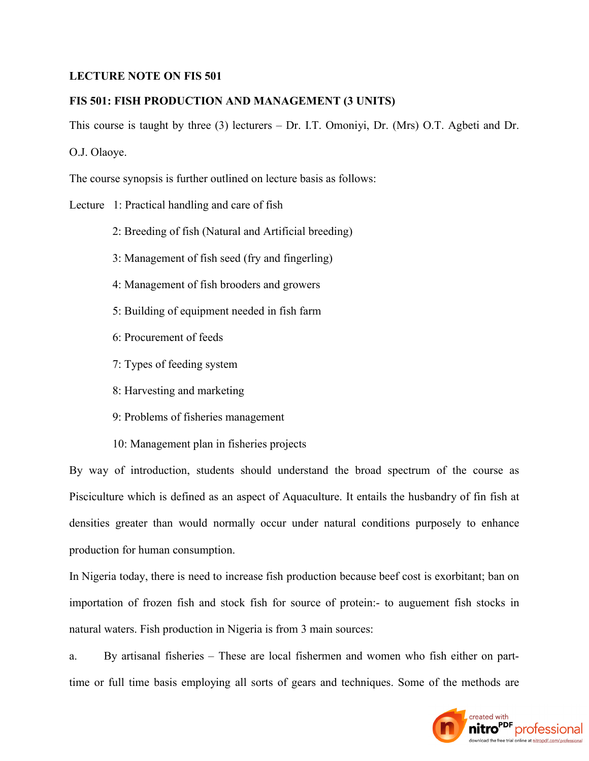## **LECTURE NOTE ON FIS 501**

## **FIS 501: FISH PRODUCTION AND MANAGEMENT (3 UNITS)**

This course is taught by three (3) lecturers – Dr. I.T. Omoniyi, Dr. (Mrs) O.T. Agbeti and Dr.

O.J. Olaoye.

The course synopsis is further outlined on lecture basis as follows:

Lecture 1: Practical handling and care of fish

- 2: Breeding of fish (Natural and Artificial breeding)
- 3: Management of fish seed (fry and fingerling)
- 4: Management of fish brooders and growers
- 5: Building of equipment needed in fish farm
- 6: Procurement of feeds
- 7: Types of feeding system
- 8: Harvesting and marketing
- 9: Problems of fisheries management
- 10: Management plan in fisheries projects

By way of introduction, students should understand the broad spectrum of the course as Pisciculture which is defined as an aspect of Aquaculture. It entails the husbandry of fin fish at densities greater than would normally occur under natural conditions purposely to enhance production for human consumption.

In Nigeria today, there is need to increase fish production because beef cost is exorbitant; ban on importation of frozen fish and stock fish for source of protein:- to auguement fish stocks in natural waters. Fish production in Nigeria is from 3 main sources:

a. By artisanal fisheries – These are local fishermen and women who fish either on parttime or full time basis employing all sorts of gears and techniques. Some of the methods are

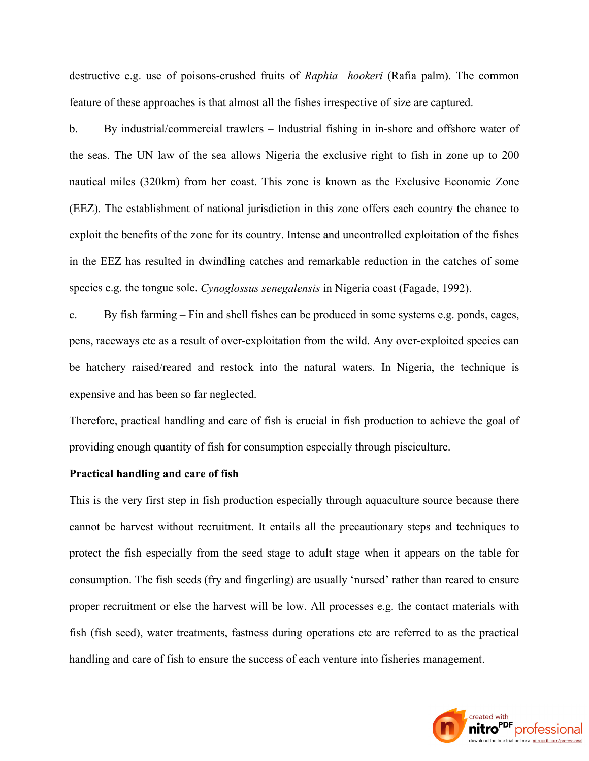destructive e.g. use of poisons-crushed fruits of *Raphia hookeri* (Rafia palm). The common feature of these approaches is that almost all the fishes irrespective of size are captured.

b. By industrial/commercial trawlers – Industrial fishing in in-shore and offshore water of the seas. The UN law of the sea allows Nigeria the exclusive right to fish in zone up to 200 nautical miles (320km) from her coast. This zone is known as the Exclusive Economic Zone (EEZ). The establishment of national jurisdiction in this zone offers each country the chance to exploit the benefits of the zone for its country. Intense and uncontrolled exploitation of the fishes in the EEZ has resulted in dwindling catches and remarkable reduction in the catches of some species e.g. the tongue sole. *Cynoglossus senegalensis* in Nigeria coast (Fagade, 1992).

c. By fish farming – Fin and shell fishes can be produced in some systems e.g. ponds, cages, pens, raceways etc as a result of over-exploitation from the wild. Any over-exploited species can be hatchery raised/reared and restock into the natural waters. In Nigeria, the technique is expensive and has been so far neglected.

Therefore, practical handling and care of fish is crucial in fish production to achieve the goal of providing enough quantity of fish for consumption especially through pisciculture.

### **Practical handling and care of fish**

This is the very first step in fish production especially through aquaculture source because there cannot be harvest without recruitment. It entails all the precautionary steps and techniques to protect the fish especially from the seed stage to adult stage when it appears on the table for consumption. The fish seeds (fry and fingerling) are usually 'nursed' rather than reared to ensure proper recruitment or else the harvest will be low. All processes e.g. the contact materials with fish (fish seed), water treatments, fastness during operations etc are referred to as the practical handling and care of fish to ensure the success of each venture into fisheries management.

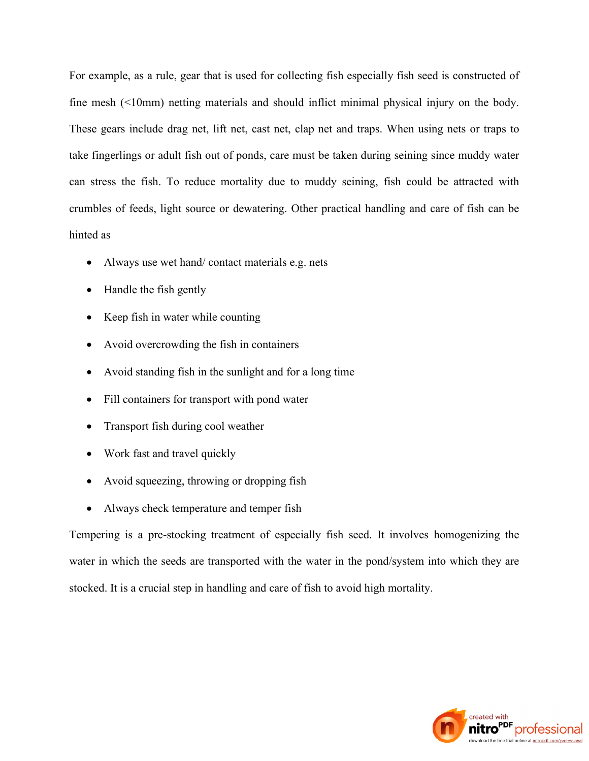For example, as a rule, gear that is used for collecting fish especially fish seed is constructed of fine mesh (<10mm) netting materials and should inflict minimal physical injury on the body. These gears include drag net, lift net, cast net, clap net and traps. When using nets or traps to take fingerlings or adult fish out of ponds, care must be taken during seining since muddy water can stress the fish. To reduce mortality due to muddy seining, fish could be attracted with crumbles of feeds, light source or dewatering. Other practical handling and care of fish can be hinted as

- Always use wet hand/ contact materials e.g. nets
- Handle the fish gently
- Keep fish in water while counting
- Avoid overcrowding the fish in containers
- Avoid standing fish in the sunlight and for a long time
- Fill containers for transport with pond water
- Transport fish during cool weather
- Work fast and travel quickly
- Avoid squeezing, throwing or dropping fish
- Always check temperature and temper fish

Tempering is a pre-stocking treatment of especially fish seed. It involves homogenizing the water in which the seeds are transported with the water in the pond/system into which they are stocked. It is a crucial step in handling and care of fish to avoid high mortality.

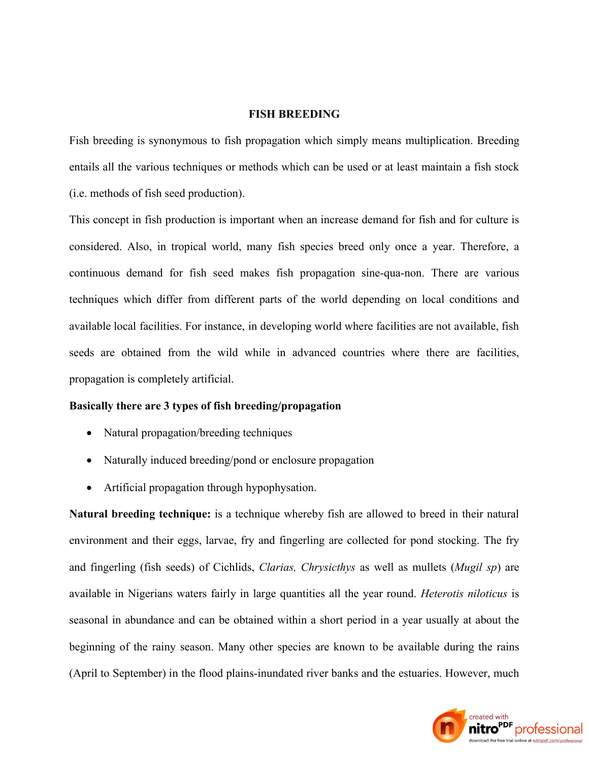#### **FISH BREEDING**

Fish breeding is synonymous to fish propagation which simply means multiplication. Breeding entails all the various techniques or methods which can be used or at least maintain a fish stock (i.e. methods of fish seed production).

This concept in fish production is important when an increase demand for fish and for culture is considered. Also, in tropical world, many fish species breed only once a year. Therefore, a continuous demand for fish seed makes fish propagation sine-qua-non. There are various techniques which differ from different parts of the world depending on local conditions and available local facilities. For instance, in developing world where facilities are not available, fish seeds are obtained from the wild while in advanced countries where there are facilities, propagation is completely artificial.

#### **Basically there are 3 types of fish breeding/propagation**

- Natural propagation/breeding techniques
- Naturally induced breeding/pond or enclosure propagation
- Artificial propagation through hypophysation.

**Natural breeding technique:** is a technique whereby fish are allowed to breed in their natural environment and their eggs, larvae, fry and fingerling are collected for pond stocking. The fry and fingerling (fish seeds) of Cichlids, *Clarias, Chrysicthys* as well as mullets (*Mugil sp*) are available in Nigerians waters fairly in large quantities all the year round. *Heterotis niloticus* is seasonal in abundance and can be obtained within a short period in a year usually at about the beginning of the rainy season. Many other species are known to be available during the rains (April to September) in the flood plains-inundated river banks and the estuaries. However, much

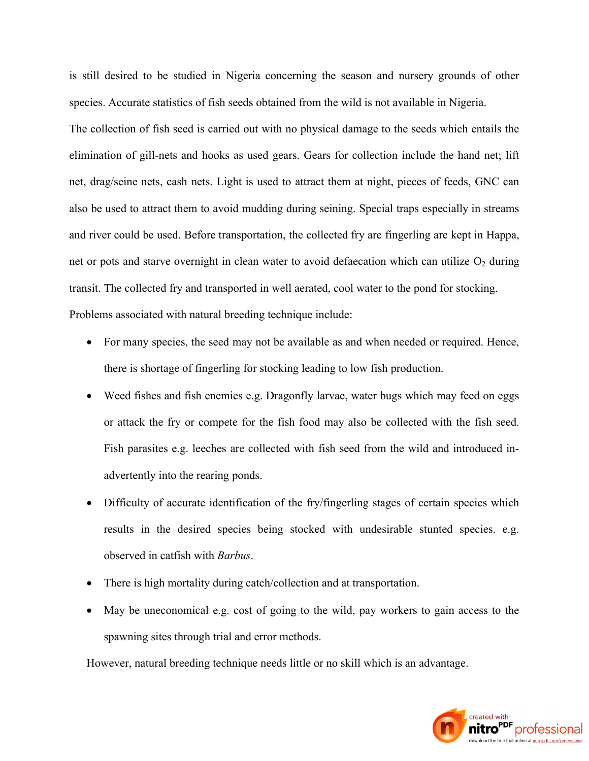is still desired to be studied in Nigeria concerning the season and nursery grounds of other species. Accurate statistics of fish seeds obtained from the wild is not available in Nigeria.

The collection of fish seed is carried out with no physical damage to the seeds which entails the elimination of gill-nets and hooks as used gears. Gears for collection include the hand net; lift net, drag/seine nets, cash nets. Light is used to attract them at night, pieces of feeds, GNC can also be used to attract them to avoid mudding during seining. Special traps especially in streams and river could be used. Before transportation, the collected fry are fingerling are kept in Happa, net or pots and starve overnight in clean water to avoid defaecation which can utilize  $O_2$  during transit. The collected fry and transported in well aerated, cool water to the pond for stocking. Problems associated with natural breeding technique include:

- For many species, the seed may not be available as and when needed or required. Hence, there is shortage of fingerling for stocking leading to low fish production.
- Weed fishes and fish enemies e.g. Dragonfly larvae, water bugs which may feed on eggs or attack the fry or compete for the fish food may also be collected with the fish seed. Fish parasites e.g. leeches are collected with fish seed from the wild and introduced inadvertently into the rearing ponds.
- Difficulty of accurate identification of the fry/fingerling stages of certain species which results in the desired species being stocked with undesirable stunted species. e.g. observed in catfish with *Barbus*.
- There is high mortality during catch/collection and at transportation.
- May be uneconomical e.g. cost of going to the wild, pay workers to gain access to the spawning sites through trial and error methods.

However, natural breeding technique needs little or no skill which is an advantage.

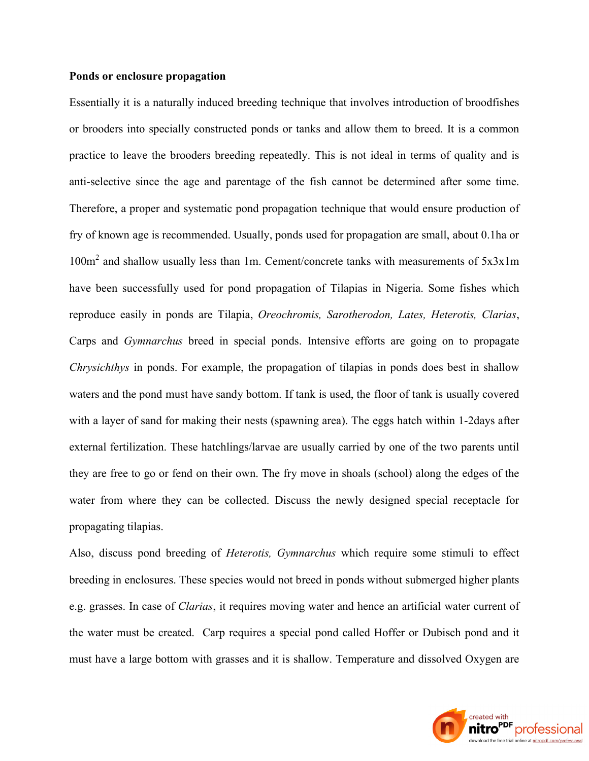### **Ponds or enclosure propagation**

Essentially it is a naturally induced breeding technique that involves introduction of broodfishes or brooders into specially constructed ponds or tanks and allow them to breed. It is a common practice to leave the brooders breeding repeatedly. This is not ideal in terms of quality and is anti-selective since the age and parentage of the fish cannot be determined after some time. Therefore, a proper and systematic pond propagation technique that would ensure production of fry of known age is recommended. Usually, ponds used for propagation are small, about 0.1ha or  $100m<sup>2</sup>$  and shallow usually less than 1m. Cement/concrete tanks with measurements of  $5x3x1m$ have been successfully used for pond propagation of Tilapias in Nigeria. Some fishes which reproduce easily in ponds are Tilapia, *Oreochromis, Sarotherodon, Lates, Heterotis, Clarias*, Carps and *Gymnarchus* breed in special ponds. Intensive efforts are going on to propagate *Chrysichthys* in ponds. For example, the propagation of tilapias in ponds does best in shallow waters and the pond must have sandy bottom. If tank is used, the floor of tank is usually covered with a layer of sand for making their nests (spawning area). The eggs hatch within 1-2days after external fertilization. These hatchlings/larvae are usually carried by one of the two parents until they are free to go or fend on their own. The fry move in shoals (school) along the edges of the water from where they can be collected. Discuss the newly designed special receptacle for propagating tilapias.

Also, discuss pond breeding of *Heterotis, Gymnarchus* which require some stimuli to effect breeding in enclosures. These species would not breed in ponds without submerged higher plants e.g. grasses. In case of *Clarias*, it requires moving water and hence an artificial water current of the water must be created. Carp requires a special pond called Hoffer or Dubisch pond and it must have a large bottom with grasses and it is shallow. Temperature and dissolved Oxygen are

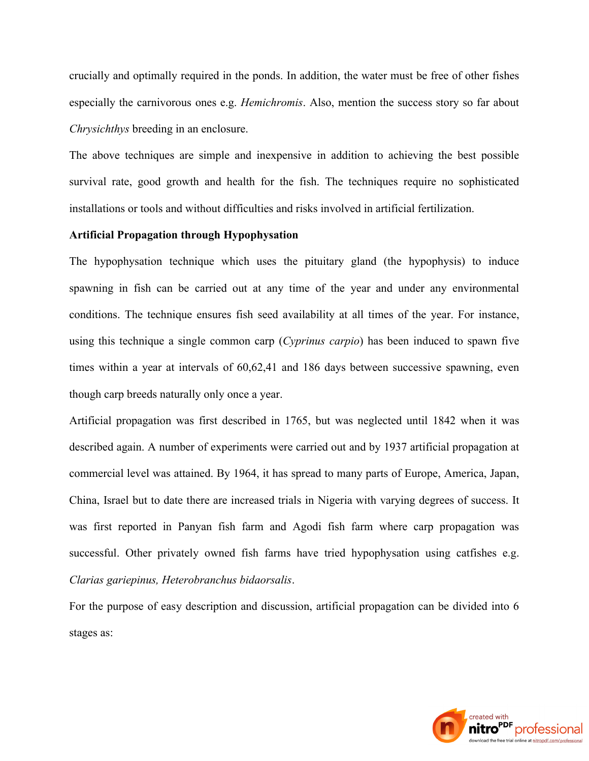crucially and optimally required in the ponds. In addition, the water must be free of other fishes especially the carnivorous ones e.g. *Hemichromis*. Also, mention the success story so far about *Chrysichthys* breeding in an enclosure.

The above techniques are simple and inexpensive in addition to achieving the best possible survival rate, good growth and health for the fish. The techniques require no sophisticated installations or tools and without difficulties and risks involved in artificial fertilization.

## **Artificial Propagation through Hypophysation**

The hypophysation technique which uses the pituitary gland (the hypophysis) to induce spawning in fish can be carried out at any time of the year and under any environmental conditions. The technique ensures fish seed availability at all times of the year. For instance, using this technique a single common carp (*Cyprinus carpio*) has been induced to spawn five times within a year at intervals of 60,62,41 and 186 days between successive spawning, even though carp breeds naturally only once a year.

Artificial propagation was first described in 1765, but was neglected until 1842 when it was described again. A number of experiments were carried out and by 1937 artificial propagation at commercial level was attained. By 1964, it has spread to many parts of Europe, America, Japan, China, Israel but to date there are increased trials in Nigeria with varying degrees of success. It was first reported in Panyan fish farm and Agodi fish farm where carp propagation was successful. Other privately owned fish farms have tried hypophysation using catfishes e.g. *Clarias gariepinus, Heterobranchus bidaorsalis*.

For the purpose of easy description and discussion, artificial propagation can be divided into 6 stages as:

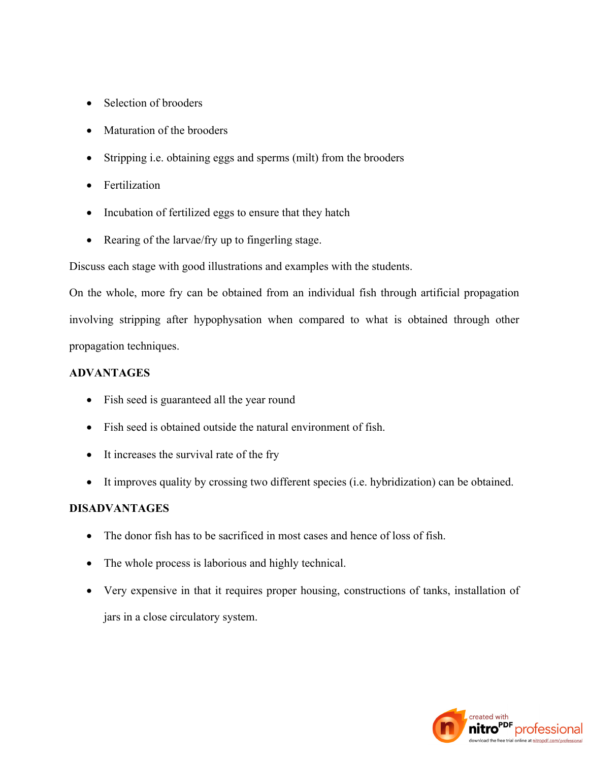- Selection of brooders
- Maturation of the brooders
- Stripping i.e. obtaining eggs and sperms (milt) from the brooders
- Fertilization
- Incubation of fertilized eggs to ensure that they hatch
- Rearing of the larvae/fry up to fingerling stage.

Discuss each stage with good illustrations and examples with the students.

On the whole, more fry can be obtained from an individual fish through artificial propagation involving stripping after hypophysation when compared to what is obtained through other propagation techniques.

# **ADVANTAGES**

- Fish seed is guaranteed all the year round
- Fish seed is obtained outside the natural environment of fish.
- It increases the survival rate of the fry
- It improves quality by crossing two different species (i.e. hybridization) can be obtained.

# **DISADVANTAGES**

- The donor fish has to be sacrificed in most cases and hence of loss of fish.
- The whole process is laborious and highly technical.
- Very expensive in that it requires proper housing, constructions of tanks, installation of jars in a close circulatory system.

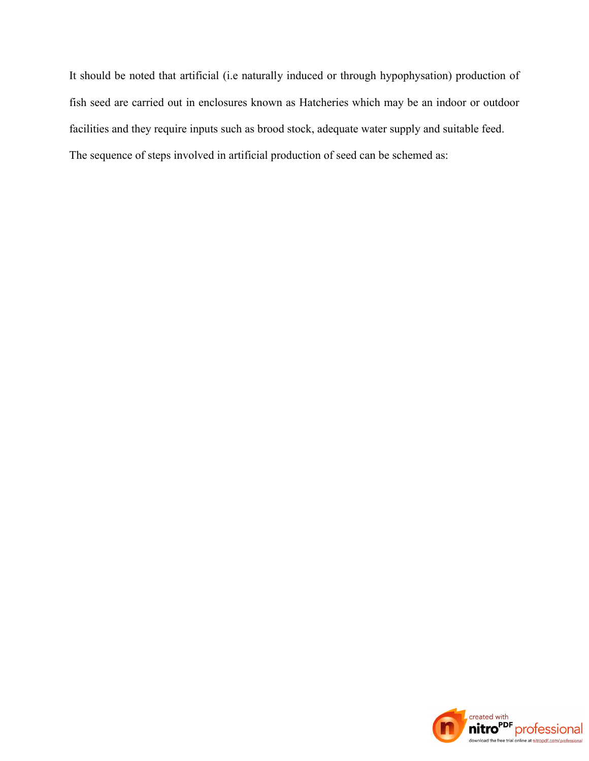It should be noted that artificial (i.e naturally induced or through hypophysation) production of fish seed are carried out in enclosures known as Hatcheries which may be an indoor or outdoor facilities and they require inputs such as brood stock, adequate water supply and suitable feed. The sequence of steps involved in artificial production of seed can be schemed as:

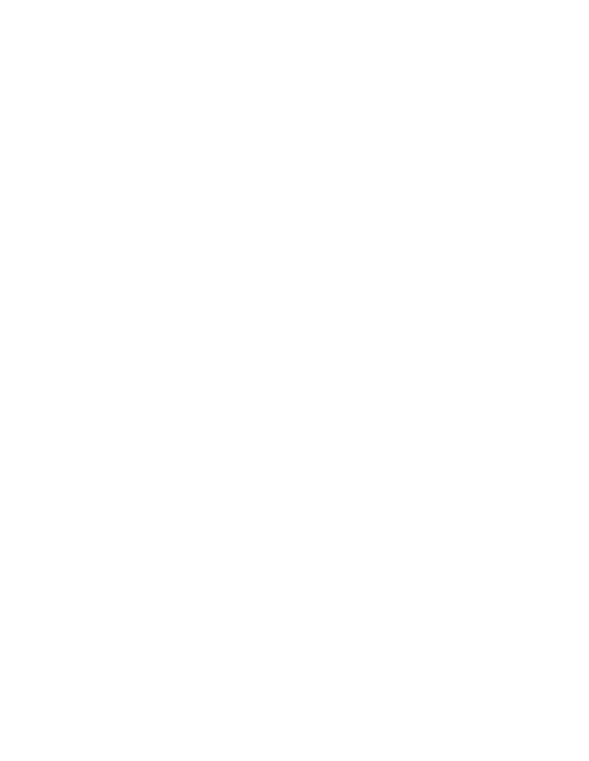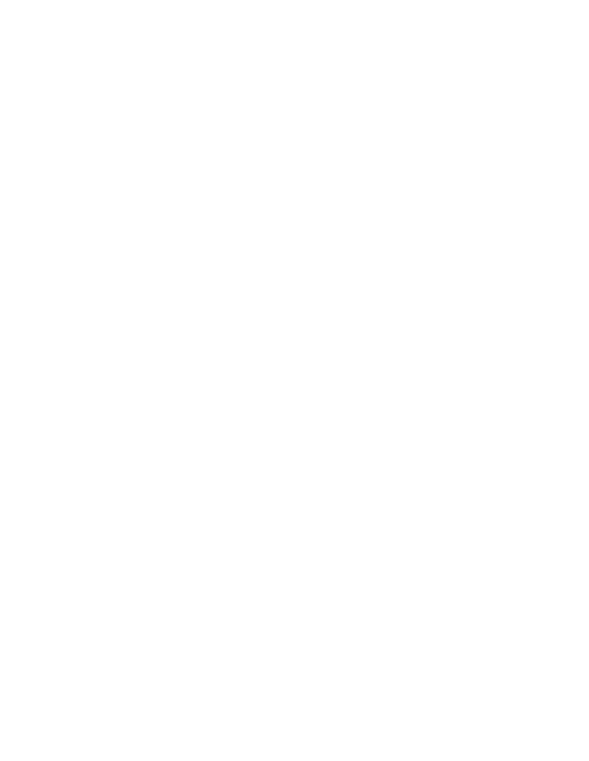### **Management/Maintenance of Broodstocks**

Maintenance or management of broodstocks on a breeding farm is very necessary because it permits the build-up and selection of healthy, high quality brooders for stock improvement. In ponds for keeping broodstocks, they need to be simulated to that of the fish's preferred habitats in terms of  $O_2$  content, temp, pH, tranquility, size and depth of the water, stocking density and quality and enough food.

Sharp fluctuations in the physico-chemical parameters of the water in the enclosures or ponds must be prevented especially temperature and  $O_2$  as these are known to inhibit gonadal development. Overcrowding in the pond conditions must be avoided because it constitutes negative stress on the stock, though many cultured species are able to tolerate some degrees of crowded pond situations. For example, brooders of catfish (*Clarias*) are held at a stocking density of one fish in 2.-5.0 $m<sup>2</sup>$  of pond area with the depth of 1.0-1.5m.

Frequent disturbances also interfere with normal gonadal development and therefore care must be taken to restrict seeing or netting of the fish to the minimum. For example *Clarias* being hardy can withstand being netted out of water two or thrice a week, other fish species should not be seined more than once a week.

Provision of suitable and adequate quantity of food is equally of great importance. It has been known that brooders reared or maintained on adequate natural food and/or protein-rich artificial feed have a higher fecundity of larger eggs and thus yield best results.

To prevent outbreak of diseases in the stock used for breeding or subsequent transmission of any diseases to the offspring, brooders should be routinely treated and bathed in a 25% NaCl or 150ppm formalin solution for 10-30minutes. Malachite green can also be used.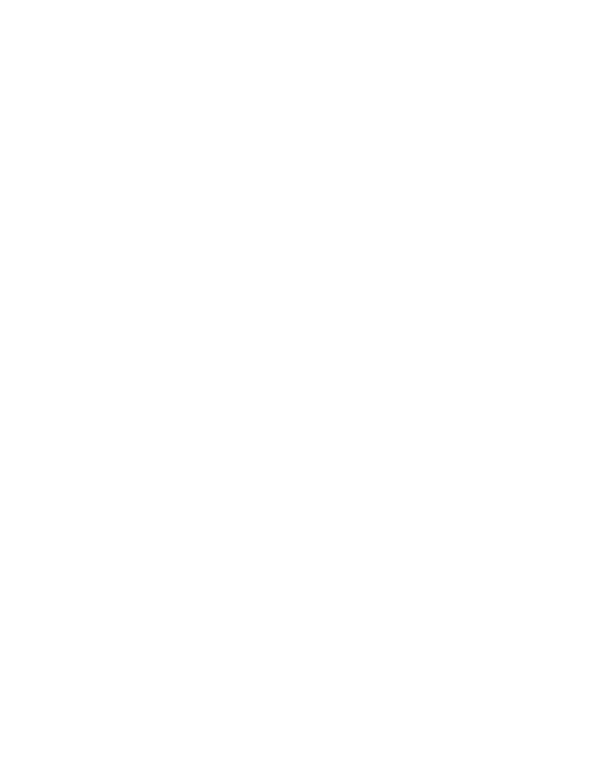Maintenance or management of brood stocks kept depends on the species, their size and the no of eggs per Kg per female, the survival from fertilized egg stage to the fry stocking phase and the demands for the fish from the grow-out units.

On principles of brood stock management solve the following problem with the students. Problem as:

As a fishery consultant, you have to supply one million Clarias gariepinus fry for restocking a Government farm.

- i. How many eggs of this species will you require to produce the fry assuming that the average female brooder produces 5600eggs per kilogram body weight and that only 90% of eggs spawned are viable and of these, 86% will be successfully fertilized and out of these, only 78% would hatch?
- ii. The average weight of each female *Clarias* as at the time of this contract was 3kg. Calculate the number of female brood stock to be maintained that would produce the above eggs to supply the required numbers of fry.
- iii. If the sex ratio of male to female to effect the breeding was 2:3, how many male would be required, assuming each weighed 2.4kg to effect the above fry production?
- iv. For proper management, at least thrice the required brood stocks must be maintained in a brood stock pond at a density of 600kg per hectare. Calculate the surface area of the pond required to maintain the brooders that would ensure the above fry supply.

### **Management of Fish seeds (Fry and Fingerling)**

In fish life history, egg(fertilized)  $\rightarrow$  Larva fry  $\rightarrow$  fingerling  $\rightarrow$  sub-adult/juvenile  $\rightarrow$ adult. The larval stage ends when it fills up its air bladder with air, begins swimming in a fish-like manner and starts to eat external food that it becomes to fry. In addition to needing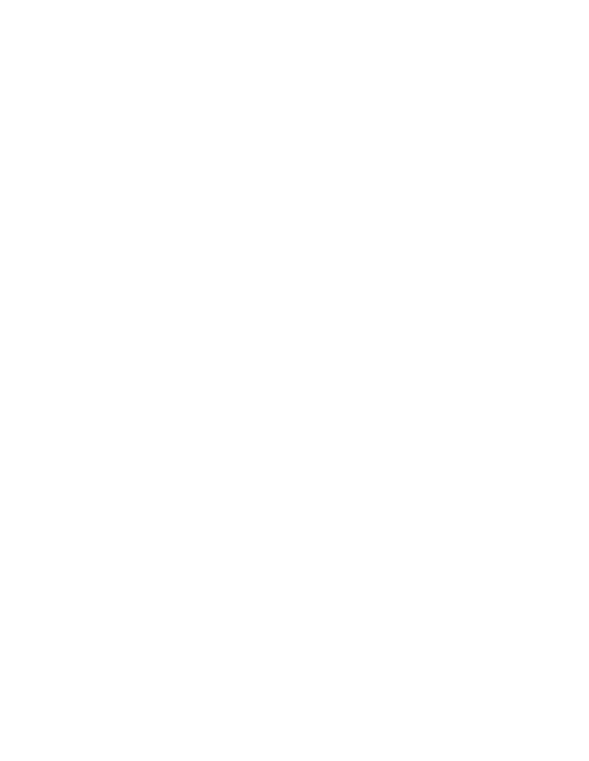all the essential requirements of the larva e.g. adequate  $O_2$ , suitable temperature, removal of waste matter etc, the fry also requires external food which should be adequate both qualitatively and quantitatively. The early fry may still have a part of the yolk left and can draw on it for sustenance from 1-4days depending on the species. The fry spends this period and learns to find its own food. Fry are said to require a more precise and careful nursing to ensure their survival and proper growth. Authors have remarked that lack of suitable food caused high fry mortality. Fingerling is bigger than fry e.g. 5-10cm and it is the stage that is usually stocked. Management of these developmental stages is based on their fragility and difference in sizes in terms of their habitats, stocking density, feeding and control of their infections and diseases. These stages are crucial because there cannot be harvest without recruitment. Hence, these stages are called fish seed or recruits.

Fry are nursed in small earthen ponds which vary from  $100-200m^2$  for about 3-4 weeks to attain fingerling stage. Fingerlings are reared rather than nursed in bigger earthen ponds. The pond is usually prepared to have a standing crop of rotifers and must be checked to exclude cyclopoid copepods which are natural enemies of fry. Food is crucial for growth which must be observed daily. Fry have two sources of food during the initial stage – yolk and external food to ensure better survival. Maintain these. It is part of the management that mixing of different age groups of same species should be avoided and it is advisable to use a monoculture of fishseed.

The most commonly provided artificial feed is finely ground and sieved through 100-150 $\mu$ m mesh called starter food. After two weeks, the size of feed particles is increased. Cutting the grasses on the dyke and throwing them around the shallow part of pond helps to increase natural food production in the pond. After about one month, the young fingerling have to be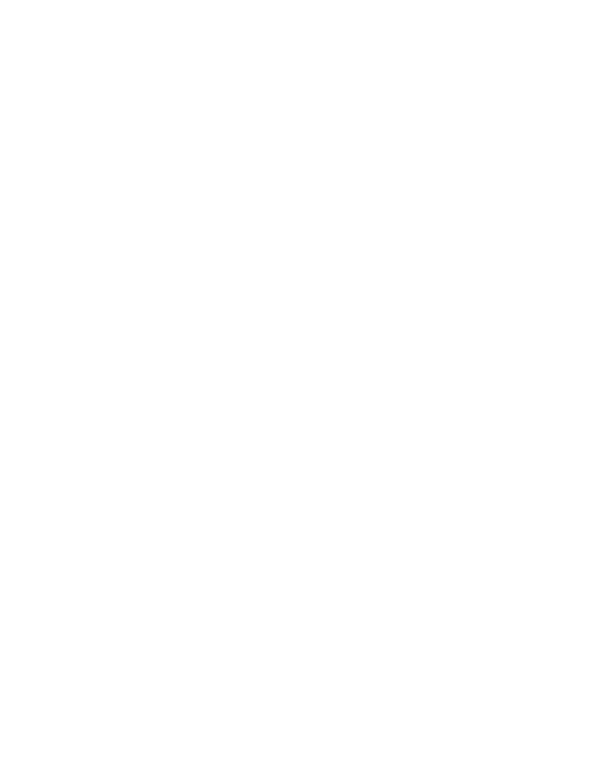removed from the small nursing pond and stock in a large pond. The artificial feeding continues but the size of food changes due to changes in the size of mouth. It is necessary to thin out the stock in order to provide sufficient space,  $O_2$ , food to the fast growing fingerling. Enemies of these stages must be managed too. These enemies change with the age of the fish. These are categorized as (i) enemies of fry (ii) enemies of advanced fry and (iii) of fingerlings.

Identify these enemies and treat adequately. For example enemies of fry include carnivorous Cyclops, insect and insect larvae (e.g. dragonfly), which predate largely on the fry. It has been stated that Cyclops are responsible for the highest mortality of fry at this stage next only to that caused by hunger. The advanced fry is less prone to predation by Cyclops since it is more agile and its skin in thicker and stronger. It is the insect larvae that pose greater danger at this stage followed by hunger if there is acute food shortage.  $O_2$  deficiency may kill in heavily manured ponds. Abrupt changes in temperature and extreme cold may exterminate the fry population.

Enemies of the fingerling – Besides hunger,  $O_2$  deficiency, sudden change in temperature, white spot disease caused by *Ichthyophthirius, Trichodina* and gill worm infections could exterminate the entire stock within a brief period in fingerling ponds.

Consult your note on Pathology for effective treatments. Preventive and control methods of these infections would be discussed during class interactions. Infection of a pond with any protozoan or bacteria or fungus can be diagnosed through certain indicative signs such as: (i) swimming of fry/fingerling in large school near the surface (ii) their accumulation below the water inlet (iii) the occurrence of dark specimens (iv) sudden occurrence of dead fish on the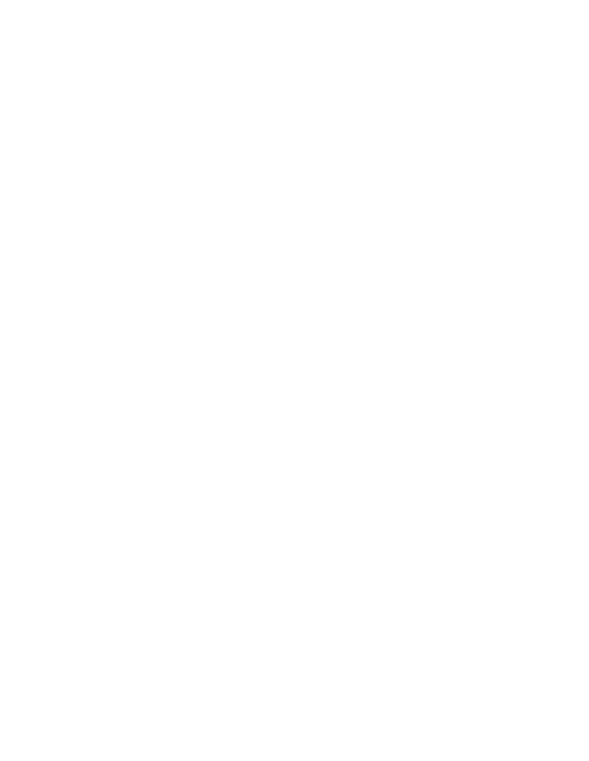surface. It should pointed out that fish that die because of parasitic infection only float on the surface while those that die due to dietary factors remain at the bottom.

### **Procurement of feed and system of feeding**

Intensive fish culture involves a high/heavy stocking of water impoundments/enclosures and the use of artificial/formula feeds to improve production. Fish feed provide nutrients for optimal growth and this rapid growth achieved implies that fish feeds are essential for the economic use of time. Through shortened grow-out periods, a fish farmer can effect two croppings within a year. The increased number of croppings of table-sized fish imply that more profit can be generated by the fish farmer. Therefore, feed of adequate nutritional value is the foundation on which fish farming is built. Good and high quality feeds improve the quality of the edible portion of fish, enhances high protein retention and gives the flesh a firm consistency and delicate flavor.

**Types of foods:** Based on the source of origin, there are natural food and artificial feeds. Natural fish food can be of animal origin which include zooplankton e.g. rotifers, protozoans, cladocerans, copepods, larger zooplankton (arrow worms, crustaceans etc, benthic invertebrates e.g. polychaetes, molluscs, insect larvae e.g. Chironomids and Chaoborids, forage fish and aquatic insects.

Natural food could be of plant origin as an phytoplankton e.g. diatoms, desmids, blue-green algae, unicellular, filamentous and colonial algae and aquatic macrophytes. Dead plants and animals (i.e. decaying organic matter called detritus) also constitute an important natural food source.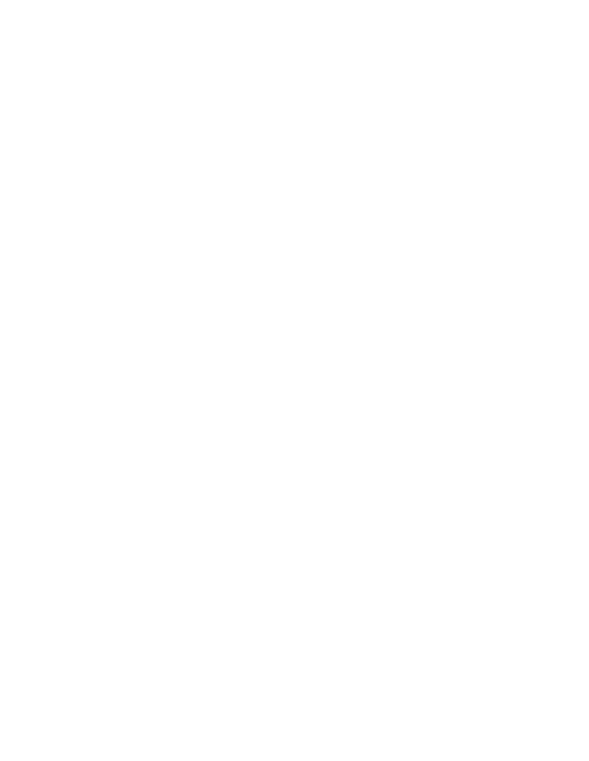**Artificial feeds:** Under commercial culture condition involving high stocking densities of fish, natural foods become limiting. It is the artificial or supplementary diets that fill the shortcoming of natural foods.

Early efforts to provide supplementary diets for cultured fish were based on attempts to duplicate composition of natural foods. This was labour-intensive involving the growing of earthworm and insects, harvesting small fish or tadpoles or by processing agricultural slaughter house by-products not readily consumed by man. Such diets had a number of drawbacks e.g. poor growth and nutritional diseases which led to the development of dry or semi-moist feeds commonly used nowadays. Artificial feeds are available in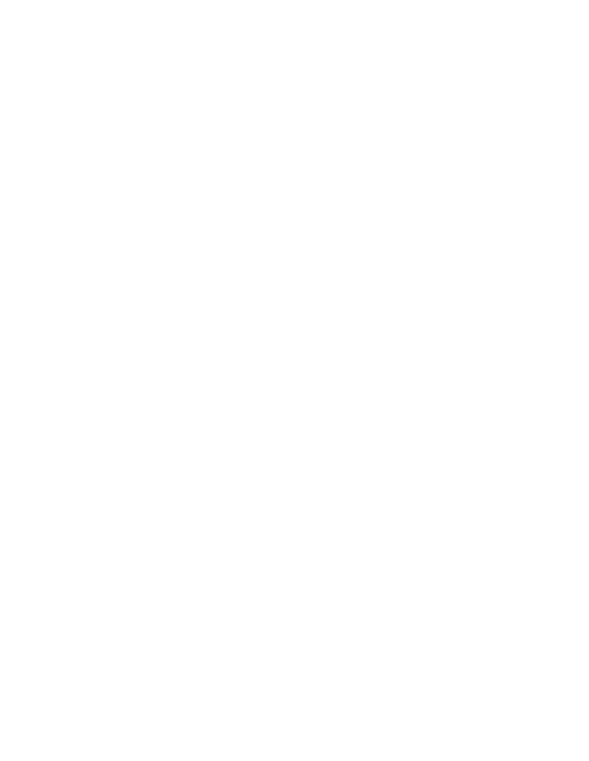Type I – meals, pastes or cakes

Type  $II$  – pellets

Type III – semi-moist feed

Type I is for plankton feeders, algae grazers, fry, small fingerling. They may be prepared as dry meal, colloidal suspension or soft cakes. Fish consume them by direct capture or by filtering water.

Type II – This type is convenient for storage, transportation and dispensing in automatic feeder or self feeder. Many fish feeds are prepared in pellet forms which can be hard (sinking), expanded (floating-encapsulated) or soft pelleted. Hard pellets may be used for fish with a mouth size capable of ingesting them, the stomach capacity to store them and the peristaltic action and enzymatic ability to digest them. Uneaten pellets disintegrate slowly in water and hence cause less water pollution. To discuss the merits and demerits in class.

Floating or expanded feeds enable the fish farmer to observe fish feeding at the pond surface. Floating feeds are acceptable to most surface-water feeders as well as catfish. Floating feeds are more expensive than hard pellets because they require extra energy in extrusion process and increased drying time. Soft pellets have water content between 8-20% and are preferred by fish which strike for their food.

Type III – Semi-moist have water content in the range of 37-40% and are prepared from frozen or fresh, wet ingredients. They are the most expensive feeds available hence fish farmers are not interested in using them.

### **Feeding systems or techniques**

A feeding programme is successful when the required amount of nutritionally adequate feed is consumed. The feeding plan and techniques are affected by fish species and size, time of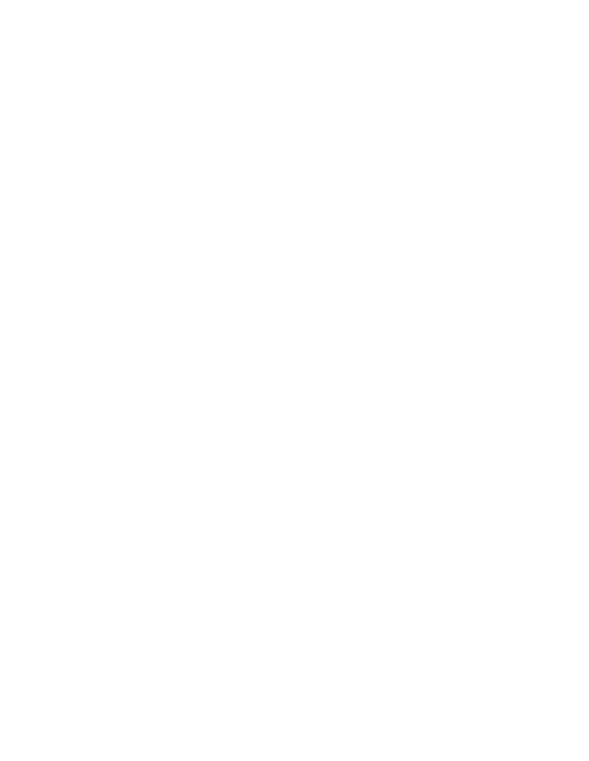the year and the type of production system. The best guide for the fish farmer is to place the feed where it can be obtained by the fish, offer it so that the fish will receive their share/rations. Floating feeds can be broadcast mechanically from specially designed feeding troughs or from mechanical feeders. For small ponds, the feed can be distributed by hand (self feeder). Feeding of fry and small fingerling poses different challenges. The experienced fingerling producer knows where the young fish are located in the pond. He may use containers or shelters to attract or hold the newly-stocked fry in an area. Note that feed placed in wrong location will not be eaten and will reduce overall water quality.

Mechanical feeders include the demand type which is activated by the fish and the automatic type which is activated by a time clock. Both have serious limitations, one of which is the tendency to less frequent observation of the culture system. The demand feeder is useful in extensive systems where fish do not have to be observed closely e.g. in lakes, reservoirs. The automatic feeder is designed to offer a measured amount of feed at predetermined time of the day.

Relationships between feeding and production will be discussed in class.

## **Test-cropping and Grading**

Before harvesting, there is the need for test cropping and/or grading for at least once a month after stocking of the fish into the production ponds. A farmer needs to make direct assessment of the status of his fish stocks over the growth period because there are some species especially the carnivorous species e.g. *Clarias* which exhibit hierarchical dominance in its feeding behavior. As a result, the more aggressive will be at an advantage to receive more food than others bringing about marked differences in sizes of individual fish. Not only